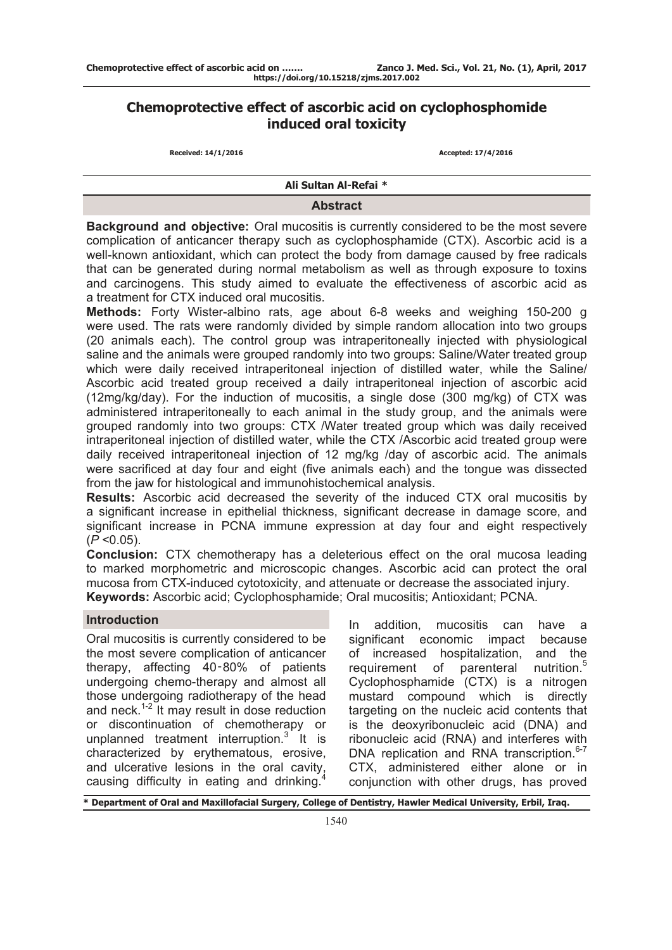# **Chemoprotective effect of ascorbic acid on cyclophosphomide induced oral toxicity**

 **Received: 14/1/2016 Accepted: 17/4/2016**

**Ali Sultan Al-Refai \***

### **Abstract**

**Background and objective:** Oral mucositis is currently considered to be the most severe complication of anticancer therapy such as cyclophosphamide (CTX). Ascorbic acid is a well-known antioxidant, which can protect the body from damage caused by free radicals that can be generated during normal metabolism as well as through exposure to toxins and carcinogens. This study aimed to evaluate the effectiveness of ascorbic acid as a treatment for CTX induced oral mucositis.

**Methods:** Forty Wister-albino rats, age about 6-8 weeks and weighing 150-200 g were used. The rats were randomly divided by simple random allocation into two groups (20 animals each). The control group was intraperitoneally injected with physiological saline and the animals were grouped randomly into two groups: Saline/Water treated group which were daily received intraperitoneal injection of distilled water, while the Saline/ Ascorbic acid treated group received a daily intraperitoneal injection of ascorbic acid (12mg/kg/day). For the induction of mucositis, a single dose (300 mg/kg) of CTX was administered intraperitoneally to each animal in the study group, and the animals were grouped randomly into two groups: CTX /Water treated group which was daily received intraperitoneal injection of distilled water, while the CTX /Ascorbic acid treated group were daily received intraperitoneal injection of 12 mg/kg /day of ascorbic acid. The animals were sacrificed at day four and eight (five animals each) and the tongue was dissected from the jaw for histological and immunohistochemical analysis.

**Results:** Ascorbic acid decreased the severity of the induced CTX oral mucositis by a significant increase in epithelial thickness, significant decrease in damage score, and significant increase in PCNA immune expression at day four and eight respectively (*P* <0.05).

**Conclusion:** CTX chemotherapy has a deleterious effect on the oral mucosa leading to marked morphometric and microscopic changes. Ascorbic acid can protect the oral mucosa from CTX-induced cytotoxicity, and attenuate or decrease the associated injury. **Keywords:** Ascorbic acid; Cyclophosphamide; Oral mucositis; Antioxidant; PCNA.

### **Introduction**

Oral mucositis is currently considered to be the most severe complication of anticancer therapy, affecting 40‑80% of patients undergoing chemo-therapy and almost all those undergoing radiotherapy of the head and neck.1-2 It may result in dose reduction or discontinuation of chemotherapy or unplanned treatment interruption.<sup>3</sup> It is characterized by erythematous, erosive, and ulcerative lesions in the oral cavity, causing difficulty in eating and drinking.<sup>4</sup>

In addition, mucositis can have a significant economic impact because of increased hospitalization, and the requirement of parenteral nutrition.<sup>5</sup> Cyclophosphamide (CTX) is a nitrogen mustard compound which is directly targeting on the nucleic acid contents that is the deoxyribonucleic acid (DNA) and ribonucleic acid (RNA) and interferes with DNA replication and RNA transcription.<sup>6-7</sup> CTX, administered either alone or in conjunction with other drugs, has proved

**\* Department of Oral and Maxillofacial Surgery, College of Dentistry, Hawler Medical University, Erbil, Iraq.**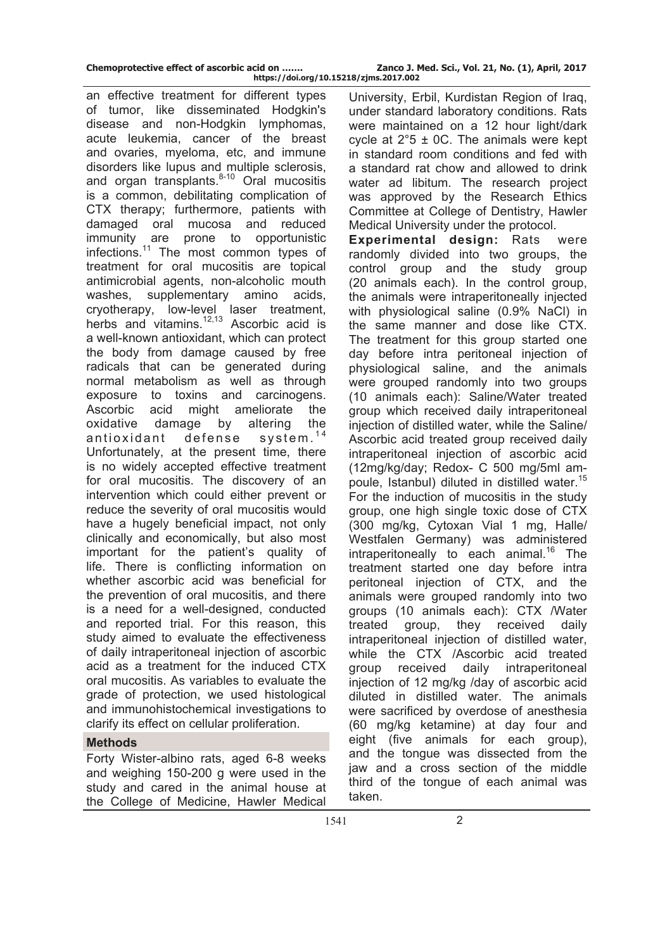| Chemoprotective effect of ascorbic acid on |  |  |  |  |
|--------------------------------------------|--|--|--|--|
|--------------------------------------------|--|--|--|--|

an effective treatment for different types of tumor, like disseminated Hodgkin's disease and non-Hodgkin lymphomas, acute leukemia, cancer of the breast and ovaries, myeloma, etc, and immune disorders like lupus and multiple sclerosis, and organ transplants. $8-10$  Oral mucositis is a common, debilitating complication of CTX therapy; furthermore, patients with damaged oral mucosa and reduced immunity are prone to opportunistic infections.11 The most common types of treatment for oral mucositis are topical antimicrobial agents, non-alcoholic mouth washes, supplementary amino acids, cryotherapy, low-level laser treatment, herbs and vitamins. $12,13$  Ascorbic acid is a well-known antioxidant, which can protect the body from damage caused by free radicals that can be generated during normal metabolism as well as through exposure to toxins and carcinogens. Ascorbic acid might ameliorate the oxidative damage by altering the antioxidant defense system.<sup>14</sup> Unfortunately, at the present time, there is no widely accepted effective treatment for oral mucositis. The discovery of an intervention which could either prevent or reduce the severity of oral mucositis would have a hugely beneficial impact, not only clinically and economically, but also most important for the patient's quality of life. There is conflicting information on whether ascorbic acid was beneficial for the prevention of oral mucositis, and there is a need for a well-designed, conducted and reported trial. For this reason, this study aimed to evaluate the effectiveness of daily intraperitoneal injection of ascorbic acid as a treatment for the induced CTX oral mucositis. As variables to evaluate the grade of protection, we used histological and immunohistochemical investigations to clarify its effect on cellular proliferation.

## **Methods**

Forty Wister-albino rats, aged 6-8 weeks and weighing 150-200 g were used in the study and cared in the animal house at the College of Medicine, Hawler Medical

University, Erbil, Kurdistan Region of Iraq, under standard laboratory conditions. Rats were maintained on a 12 hour light/dark cycle at  $2^{\circ}5 \pm 0$ C. The animals were kept in standard room conditions and fed with a standard rat chow and allowed to drink water ad libitum. The research project was approved by the Research Ethics Committee at College of Dentistry, Hawler Medical University under the protocol.

**Experimental design:** Rats were randomly divided into two groups, the control group and the study group (20 animals each). In the control group, the animals were intraperitoneally injected with physiological saline (0.9% NaCl) in the same manner and dose like CTX. The treatment for this group started one day before intra peritoneal injection of physiological saline, and the animals were grouped randomly into two groups (10 animals each): Saline/Water treated group which received daily intraperitoneal injection of distilled water, while the Saline/ Ascorbic acid treated group received daily intraperitoneal injection of ascorbic acid (12mg/kg/day; Redox- C 500 mg/5ml ampoule, Istanbul) diluted in distilled water.<sup>15</sup> For the induction of mucositis in the study group, one high single toxic dose of CTX (300 mg/kg, Cytoxan Vial 1 mg, Halle/ Westfalen Germany) was administered intraperitoneally to each animal.<sup>16</sup> The treatment started one day before intra peritoneal injection of CTX, and the animals were grouped randomly into two groups (10 animals each): CTX /Water treated group, they received daily intraperitoneal injection of distilled water, while the CTX /Ascorbic acid treated group received daily intraperitoneal injection of 12 mg/kg /day of ascorbic acid diluted in distilled water. The animals were sacrificed by overdose of anesthesia (60 mg/kg ketamine) at day four and eight (five animals for each group), and the tongue was dissected from the jaw and a cross section of the middle third of the tongue of each animal was taken.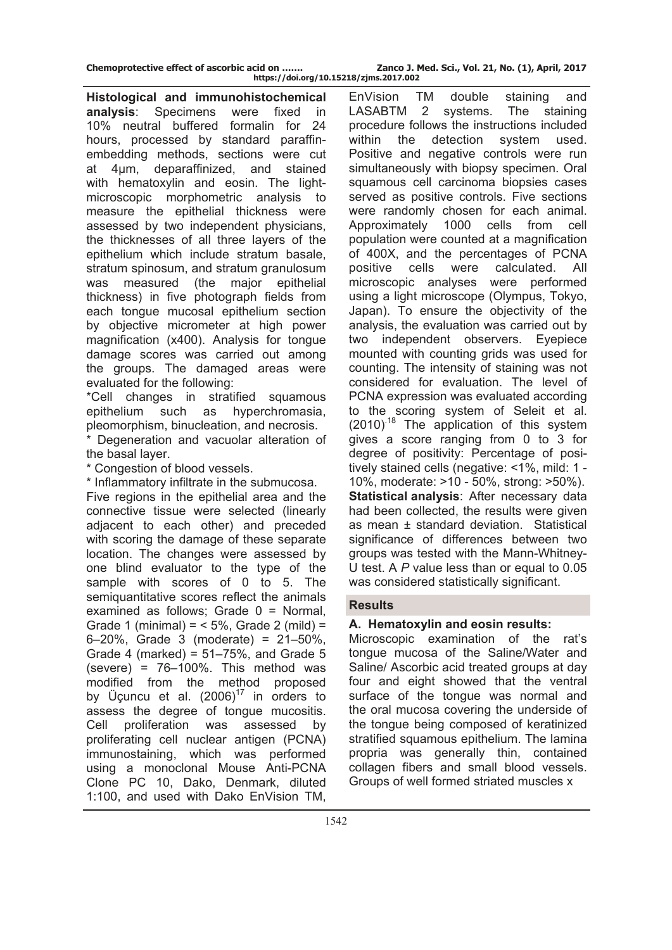| Chemoprotective effect of ascorbic acid on |  |  |  |  |
|--------------------------------------------|--|--|--|--|
|--------------------------------------------|--|--|--|--|

Zanco J. Med. Sci., Vol. 21, No. (1), April, 2017 **https://doi.org/10.15218/zjms.2017.002**

**Histological and immunohistochemical analysis**: Specimens were fixed in 10% neutral buffered formalin for 24 hours, processed by standard paraffinembedding methods, sections were cut at 4μm, deparaffinized, and stained with hematoxylin and eosin. The lightmicroscopic morphometric analysis to measure the epithelial thickness were assessed by two independent physicians, the thicknesses of all three layers of the epithelium which include stratum basale, stratum spinosum, and stratum granulosum was measured (the major epithelial thickness) in five photograph fields from each tongue mucosal epithelium section by objective micrometer at high power magnification (x400). Analysis for tongue damage scores was carried out among the groups. The damaged areas were evaluated for the following:

\*Cell changes in stratified squamous epithelium such as hyperchromasia, pleomorphism, binucleation, and necrosis.

\* Degeneration and vacuolar alteration of the basal layer.

\* Congestion of blood vessels.

\* Inflammatory infiltrate in the submucosa.

Five regions in the epithelial area and the connective tissue were selected (linearly adjacent to each other) and preceded with scoring the damage of these separate location. The changes were assessed by one blind evaluator to the type of the sample with scores of 0 to 5. The semiquantitative scores reflect the animals examined as follows; Grade 0 = Normal, Grade 1 (minimal) =  $<$  5%, Grade 2 (mild) = 6–20%, Grade 3 (moderate) = 21–50%, Grade 4 (marked) =  $51-75%$ , and Grade 5 (severe) =  $76-100\%$ . This method was modified from the method proposed by Üçuncu et al.  $(2006)^{17}$  in orders to assess the degree of tongue mucositis. Cell proliferation was assessed by proliferating cell nuclear antigen (PCNA) immunostaining, which was performed using a monoclonal Mouse Anti-PCNA Clone PC 10, Dako, Denmark, diluted 1:100, and used with Dako EnVision TM,

EnVision TM double staining and LASABTM 2 systems. The staining procedure follows the instructions included within the detection system used. Positive and negative controls were run simultaneously with biopsy specimen. Oral squamous cell carcinoma biopsies cases served as positive controls. Five sections were randomly chosen for each animal. Approximately 1000 cells from cell population were counted at a magnification of 400X, and the percentages of PCNA positive cells were calculated. All microscopic analyses were performed using a light microscope (Olympus, Tokyo, Japan). To ensure the objectivity of the analysis, the evaluation was carried out by two independent observers. Eyepiece mounted with counting grids was used for counting. The intensity of staining was not considered for evaluation. The level of PCNA expression was evaluated according to the scoring system of Seleit et al.  $(2010)^{18}$  The application of this system gives a score ranging from 0 to 3 for degree of positivity: Percentage of positively stained cells (negative: <1%, mild: 1 - 10%, moderate: >10 - 50%, strong: >50%). **Statistical analysis**: After necessary data had been collected, the results were given as mean ± standard deviation. Statistical significance of differences between two groups was tested with the Mann-Whitney-U test. A *P* value less than or equal to 0.05 was considered statistically significant.

### **Results**

### **A. Hematoxylin and eosin results:**

Microscopic examination of the rat's tongue mucosa of the Saline/Water and Saline/ Ascorbic acid treated groups at day four and eight showed that the ventral surface of the tongue was normal and the oral mucosa covering the underside of the tongue being composed of keratinized stratified squamous epithelium. The lamina propria was generally thin, contained collagen fibers and small blood vessels. Groups of well formed striated muscles x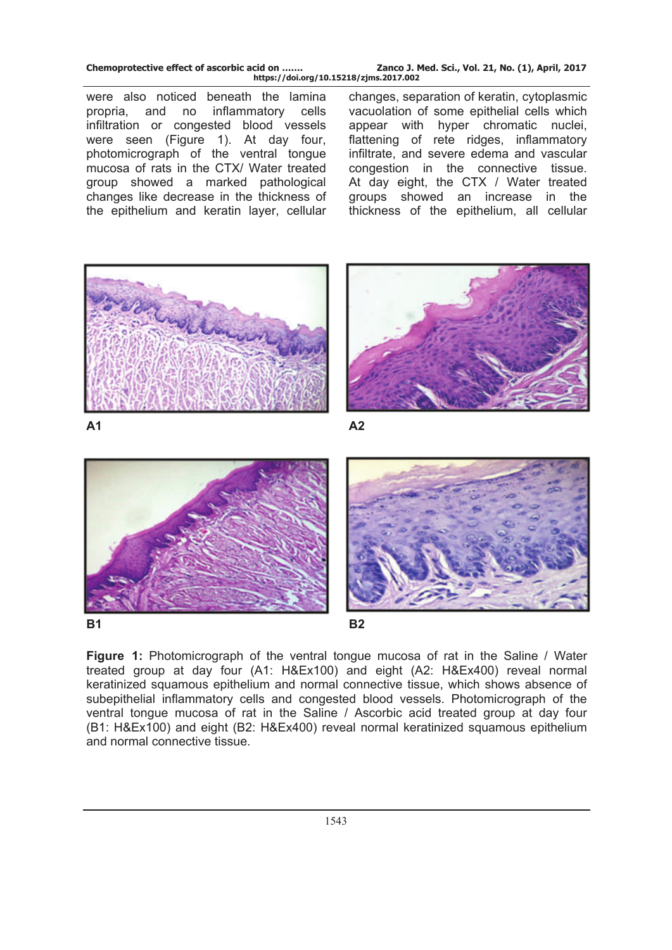| Chemoprotective effect of ascorbic acid on | Zanco J. Med. Sci., Vol. 21, No. (1), April, 2017 |
|--------------------------------------------|---------------------------------------------------|
| https://doi.org/10.15218/zjms.2017.002     |                                                   |

were also noticed beneath the lamina propria, and no inflammatory cells infiltration or congested blood vessels were seen (Figure 1). At day four, photomicrograph of the ventral tongue mucosa of rats in the CTX/ Water treated group showed a marked pathological changes like decrease in the thickness of the epithelium and keratin layer, cellular

changes, separation of keratin, cytoplasmic vacuolation of some epithelial cells which appear with hyper chromatic nuclei, flattening of rete ridges, inflammatory infiltrate, and severe edema and vascular congestion in the connective tissue. At day eight, the CTX / Water treated groups showed an increase in the thickness of the epithelium, all cellular



**A1 A2** 







**Figure 1:** Photomicrograph of the ventral tongue mucosa of rat in the Saline / Water treated group at day four (A1: H&Ex100) and eight (A2: H&Ex400) reveal normal keratinized squamous epithelium and normal connective tissue, which shows absence of subepithelial inflammatory cells and congested blood vessels. Photomicrograph of the ventral tongue mucosa of rat in the Saline / Ascorbic acid treated group at day four (B1: H&Ex100) and eight (B2: H&Ex400) reveal normal keratinized squamous epithelium and normal connective tissue.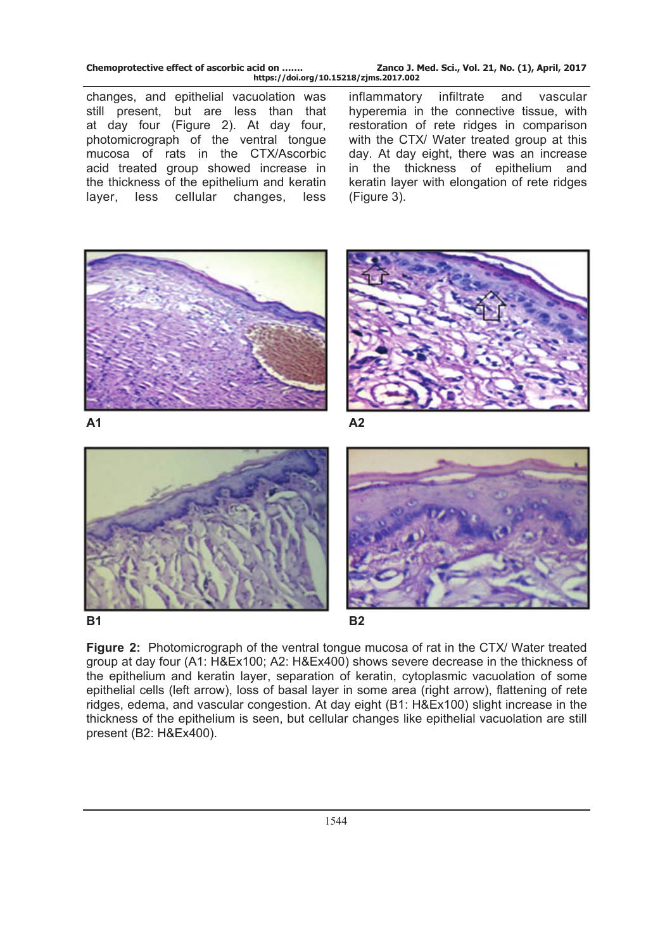| Chemoprotective effect of ascorbic acid on | Zanco J. Med. Sci., Vol. 21, No. (1), April, 2017 |  |  |
|--------------------------------------------|---------------------------------------------------|--|--|
| https://doi.org/10.15218/zjms.2017.002     |                                                   |  |  |

changes, and epithelial vacuolation was still present, but are less than that at day four (Figure 2). At day four, photomicrograph of the ventral tongue mucosa of rats in the CTX/Ascorbic acid treated group showed increase in the thickness of the epithelium and keratin layer, less cellular changes, less

inflammatory infiltrate and vascular hyperemia in the connective tissue, with restoration of rete ridges in comparison with the CTX/ Water treated group at this day. At day eight, there was an increase in the thickness of epithelium and keratin layer with elongation of rete ridges (Figure 3).



**B1** B2





**Figure 2:** Photomicrograph of the ventral tongue mucosa of rat in the CTX/ Water treated group at day four (A1: H&Ex100; A2: H&Ex400) shows severe decrease in the thickness of the epithelium and keratin layer, separation of keratin, cytoplasmic vacuolation of some epithelial cells (left arrow), loss of basal layer in some area (right arrow), flattening of rete ridges, edema, and vascular congestion. At day eight (B1: H&Ex100) slight increase in the thickness of the epithelium is seen, but cellular changes like epithelial vacuolation are still present (B2: H&Ex400).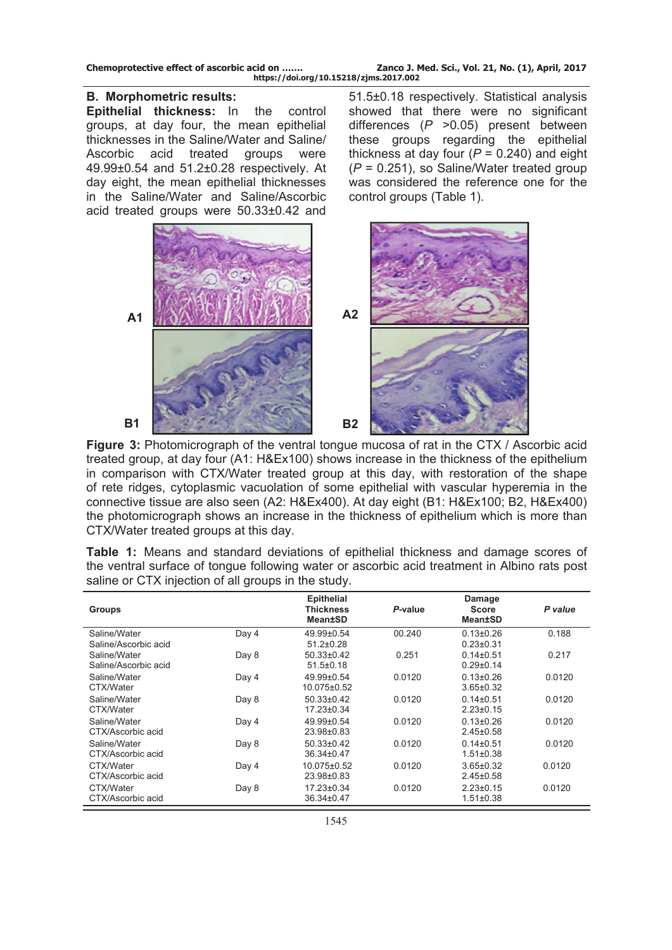| Chemoprotective effect of ascorbic acid on | Zanco J. Med. Sci., Vol. 21, No. (1), April, 2017 |  |  |  |
|--------------------------------------------|---------------------------------------------------|--|--|--|
| https://doi.org/10.15218/zjms.2017.002     |                                                   |  |  |  |

### **B. Morphometric results:**

**Epithelial thickness:** In the control groups, at day four, the mean epithelial thicknesses in the Saline/Water and Saline/ Ascorbic acid treated groups were 49.99±0.54 and 51.2±0.28 respectively. At day eight, the mean epithelial thicknesses in the Saline/Water and Saline/Ascorbic acid treated groups were 50.33±0.42 and

51.5±0.18 respectively. Statistical analysis showed that there were no significant differences (*P* >0.05) present between these groups regarding the epithelial thickness at day four  $(P = 0.240)$  and eight (*P* = 0.251), so Saline/Water treated group was considered the reference one for the control groups (Table 1).



**Figure 3:** Photomicrograph of the ventral tongue mucosa of rat in the CTX / Ascorbic acid treated group, at day four (A1: H&Ex100) shows increase in the thickness of the epithelium in comparison with CTX/Water treated group at this day, with restoration of the shape of rete ridges, cytoplasmic vacuolation of some epithelial with vascular hyperemia in the connective tissue are also seen (A2: H&Ex400). At day eight (B1: H&Ex100; B2, H&Ex400) the photomicrograph shows an increase in the thickness of epithelium which is more than CTX/Water treated groups at this day.

**Table 1:** Means and standard deviations of epithelial thickness and damage scores of the ventral surface of tongue following water or ascorbic acid treatment in Albino rats post saline or CTX injection of all groups in the study.

| <b>Groups</b>                        |       | <b>Epithelial</b><br><b>Thickness</b><br><b>Mean±SD</b> | P-value | Damage<br><b>Score</b><br><b>Mean±SD</b> | P value |
|--------------------------------------|-------|---------------------------------------------------------|---------|------------------------------------------|---------|
| Saline/Water<br>Saline/Ascorbic acid | Day 4 | 49.99±0.54<br>$51.2 \pm 0.28$                           | 00.240  | $0.13 \pm 0.26$<br>$0.23 + 0.31$         | 0.188   |
| Saline/Water<br>Saline/Ascorbic acid | Day 8 | $50.33 \pm 0.42$<br>$51.5 \pm 0.18$                     | 0.251   | $0.14\pm0.51$<br>$0.29 \pm 0.14$         | 0.217   |
| Saline/Water<br>CTX/Water            | Day 4 | 49.99±0.54<br>10.075±0.52                               | 0.0120  | $0.13 \pm 0.26$<br>$3.65 \pm 0.32$       | 0.0120  |
| Saline/Water<br>CTX/Water            | Day 8 | $50.33 \pm 0.42$<br>17.23±0.34                          | 0.0120  | $0.14\pm0.51$<br>$2.23 \pm 0.15$         | 0.0120  |
| Saline/Water<br>CTX/Ascorbic acid    | Day 4 | 49.99±0.54<br>23.98±0.83                                | 0.0120  | $0.13 \pm 0.26$<br>$2.45 \pm 0.58$       | 0.0120  |
| Saline/Water<br>CTX/Ascorbic acid    | Day 8 | $50.33 \pm 0.42$<br>36.34±0.47                          | 0.0120  | $0.14\pm0.51$<br>$1.51 \pm 0.38$         | 0.0120  |
| CTX/Water<br>CTX/Ascorbic acid       | Day 4 | 10.075±0.52<br>23.98±0.83                               | 0.0120  | $3.65 \pm 0.32$<br>$2.45 \pm 0.58$       | 0.0120  |
| CTX/Water<br>CTX/Ascorbic acid       | Day 8 | 17.23±0.34<br>36.34±0.47                                | 0.0120  | $2.23 \pm 0.15$<br>$1.51 \pm 0.38$       | 0.0120  |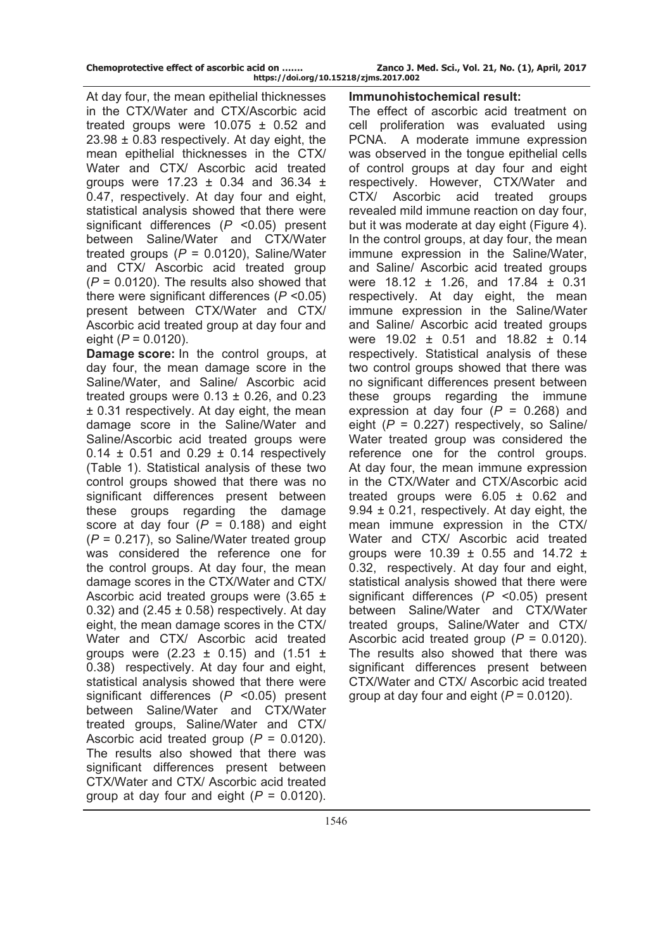| Chemoprotective effect of ascorbic acid on |  |  |  |
|--------------------------------------------|--|--|--|
|                                            |  |  |  |

At day four, the mean epithelial thicknesses in the CTX/Water and CTX/Ascorbic acid treated groups were  $10.075 \pm 0.52$  and 23.98 ± 0.83 respectively. At day eight, the mean epithelial thicknesses in the CTX/ Water and CTX/ Ascorbic acid treated groups were  $17.23 \pm 0.34$  and  $36.34 \pm 1.5$ 0.47, respectively. At day four and eight, statistical analysis showed that there were significant differences (*P* <0.05) present between Saline/Water and CTX/Water treated groups (*P* = 0.0120), Saline/Water and CTX/ Ascorbic acid treated group (*P* = 0.0120). The results also showed that there were significant differences (*P* <0.05) present between CTX/Water and CTX/ Ascorbic acid treated group at day four and eight (*P* = 0.0120).

**Damage score:** In the control groups, at day four, the mean damage score in the Saline/Water, and Saline/ Ascorbic acid treated groups were  $0.13 \pm 0.26$ , and 0.23 ± 0.31 respectively. At day eight, the mean damage score in the Saline/Water and Saline/Ascorbic acid treated groups were  $0.14 \pm 0.51$  and  $0.29 \pm 0.14$  respectively (Table 1). Statistical analysis of these two control groups showed that there was no significant differences present between these groups regarding the damage score at day four  $(P = 0.188)$  and eight (*P* = 0.217), so Saline/Water treated group was considered the reference one for the control groups. At day four, the mean damage scores in the CTX/Water and CTX/ Ascorbic acid treated groups were  $(3.65 \pm$ 0.32) and  $(2.45 \pm 0.58)$  respectively. At day eight, the mean damage scores in the CTX/ Water and CTX/ Ascorbic acid treated groups were  $(2.23 \pm 0.15)$  and  $(1.51 \pm 1.5)$ 0.38) respectively. At day four and eight, statistical analysis showed that there were significant differences (*P* <0.05) present between Saline/Water and CTX/Water treated groups, Saline/Water and CTX/ Ascorbic acid treated group (*P* = 0.0120). The results also showed that there was significant differences present between CTX/Water and CTX/ Ascorbic acid treated group at day four and eight (*P* = 0.0120).

#### **Immunohistochemical result:**

The effect of ascorbic acid treatment on cell proliferation was evaluated using PCNA. A moderate immune expression was observed in the tongue epithelial cells of control groups at day four and eight respectively. However, CTX/Water and CTX/ Ascorbic acid treated groups revealed mild immune reaction on day four, but it was moderate at day eight (Figure 4). In the control groups, at day four, the mean immune expression in the Saline/Water, and Saline/ Ascorbic acid treated groups were 18.12 ± 1.26, and 17.84 ± 0.31 respectively. At day eight, the mean immune expression in the Saline/Water and Saline/ Ascorbic acid treated groups were 19.02 ± 0.51 and 18.82 ± 0.14 respectively. Statistical analysis of these two control groups showed that there was no significant differences present between these groups regarding the immune expression at day four  $(P = 0.268)$  and eight  $(P = 0.227)$  respectively, so Saline/ Water treated group was considered the reference one for the control groups. At day four, the mean immune expression in the CTX/Water and CTX/Ascorbic acid treated groups were  $6.05 \pm 0.62$  and 9.94 ± 0.21, respectively. At day eight, the mean immune expression in the CTX/ Water and CTX/ Ascorbic acid treated groups were  $10.39 \pm 0.55$  and  $14.72 \pm 1$ 0.32, respectively. At day four and eight, statistical analysis showed that there were significant differences (*P* <0.05) present between Saline/Water and CTX/Water treated groups, Saline/Water and CTX/ Ascorbic acid treated group (*P* = 0.0120). The results also showed that there was significant differences present between CTX/Water and CTX/ Ascorbic acid treated group at day four and eight (*P* = 0.0120).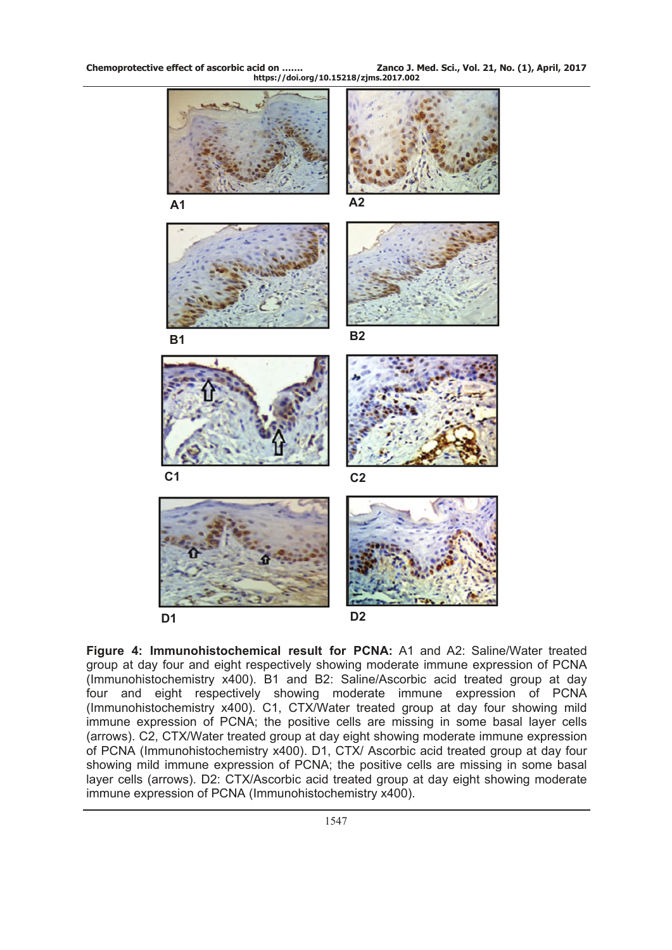**Chemoprotective effect of ascorbic acid on ……. Zanco J. Med. Sci., Vol. 21, No. (1), April, 2017 https://doi.org/10.15218/zjms.2017.002**



**Figure 4: Immunohistochemical result for PCNA:** A1 and A2: Saline/Water treated group at day four and eight respectively showing moderate immune expression of PCNA (Immunohistochemistry x400). B1 and B2: Saline/Ascorbic acid treated group at day four and eight respectively showing moderate immune expression of PCNA (Immunohistochemistry x400). C1, CTX/Water treated group at day four showing mild immune expression of PCNA; the positive cells are missing in some basal layer cells (arrows). C2, CTX/Water treated group at day eight showing moderate immune expression of PCNA (Immunohistochemistry x400). D1, CTX/ Ascorbic acid treated group at day four showing mild immune expression of PCNA; the positive cells are missing in some basal layer cells (arrows). D2: CTX/Ascorbic acid treated group at day eight showing moderate immune expression of PCNA (Immunohistochemistry x400).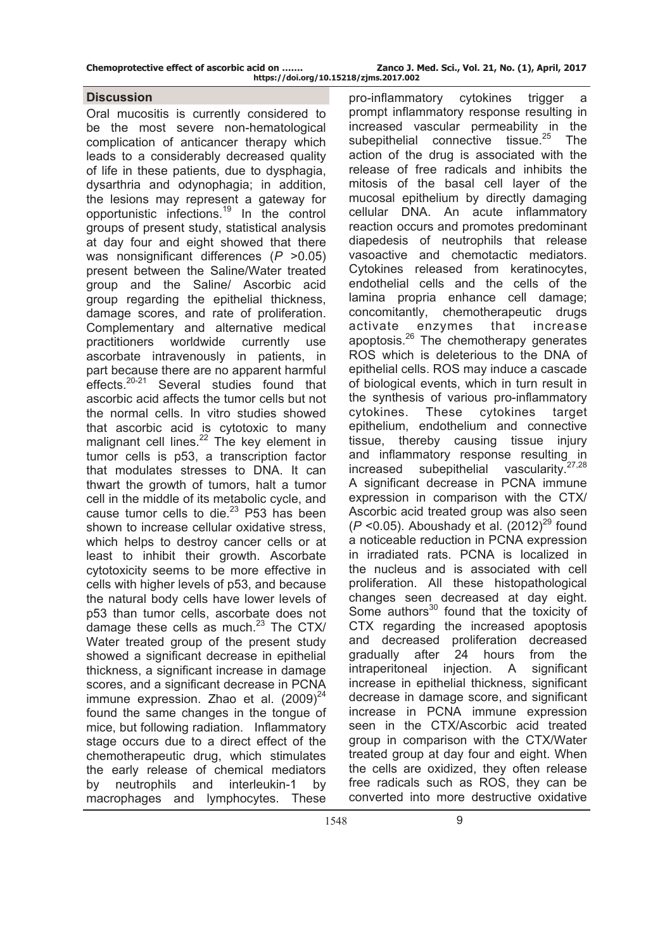**Chemoprotective effect of ascorbic acid on ……. Zanco J. Med. Sci., Vol. 21, No. (1), April, 2017 https://doi.org/10.15218/zjms.2017.002**

### **Discussion**

Oral mucositis is currently considered to be the most severe non-hematological complication of anticancer therapy which leads to a considerably decreased quality of life in these patients, due to dysphagia, dysarthria and odynophagia; in addition, the lesions may represent a gateway for opportunistic infections.19 In the control groups of present study, statistical analysis at day four and eight showed that there was nonsignificant differences (*P* >0.05) present between the Saline/Water treated group and the Saline/ Ascorbic acid group regarding the epithelial thickness, damage scores, and rate of proliferation. Complementary and alternative medical practitioners worldwide currently use ascorbate intravenously in patients, in part because there are no apparent harmful effects.<sup>20-21</sup> Several studies found that ascorbic acid affects the tumor cells but not the normal cells. In vitro studies showed that ascorbic acid is cytotoxic to many malignant cell lines.<sup>22</sup> The key element in tumor cells is p53, a transcription factor that modulates stresses to DNA. It can thwart the growth of tumors, halt a tumor cell in the middle of its metabolic cycle, and cause tumor cells to die. $23$  P53 has been shown to increase cellular oxidative stress, which helps to destroy cancer cells or at least to inhibit their growth. Ascorbate cytotoxicity seems to be more effective in cells with higher levels of p53, and because the natural body cells have lower levels of p53 than tumor cells, ascorbate does not damage these cells as much. $23$  The CTX/ Water treated group of the present study showed a significant decrease in epithelial thickness, a significant increase in damage scores, and a significant decrease in PCNA immune expression. Zhao et al.  $(2009)^{24}$ found the same changes in the tongue of mice, but following radiation. Inflammatory stage occurs due to a direct effect of the chemotherapeutic drug, which stimulates the early release of chemical mediators by neutrophils and interleukin-1 by macrophages and lymphocytes. These

pro-inflammatory cytokines trigger a prompt inflammatory response resulting in increased vascular permeability in the subepithelial connective tissue. $25$  The action of the drug is associated with the release of free radicals and inhibits the mitosis of the basal cell layer of the mucosal epithelium by directly damaging cellular DNA. An acute inflammatory reaction occurs and promotes predominant diapedesis of neutrophils that release vasoactive and chemotactic mediators. Cytokines released from keratinocytes, endothelial cells and the cells of the lamina propria enhance cell damage; concomitantly, chemotherapeutic drugs activate enzymes that increase apoptosis.<sup>26</sup> The chemotherapy generates ROS which is deleterious to the DNA of epithelial cells. ROS may induce a cascade of biological events, which in turn result in the synthesis of various pro-inflammatory cytokines. These cytokines target epithelium, endothelium and connective tissue, thereby causing tissue injury and inflammatory response resulting in  $i$  increased subenifielial vascularity  $27.28$ increased subepithelial vascularity.<sup>2</sup> A significant decrease in PCNA immune expression in comparison with the CTX/ Ascorbic acid treated group was also seen  $(P \le 0.05)$ . Aboushady et al.  $(2012)^{29}$  found a noticeable reduction in PCNA expression in irradiated rats. PCNA is localized in the nucleus and is associated with cell proliferation. All these histopathological changes seen decreased at day eight. Some authors<sup>30</sup> found that the toxicity of CTX regarding the increased apoptosis and decreased proliferation decreased gradually after 24 hours from the intraperitoneal injection. A significant increase in epithelial thickness, significant decrease in damage score, and significant increase in PCNA immune expression seen in the CTX/Ascorbic acid treated group in comparison with the CTX/Water treated group at day four and eight. When the cells are oxidized, they often release free radicals such as ROS, they can be converted into more destructive oxidative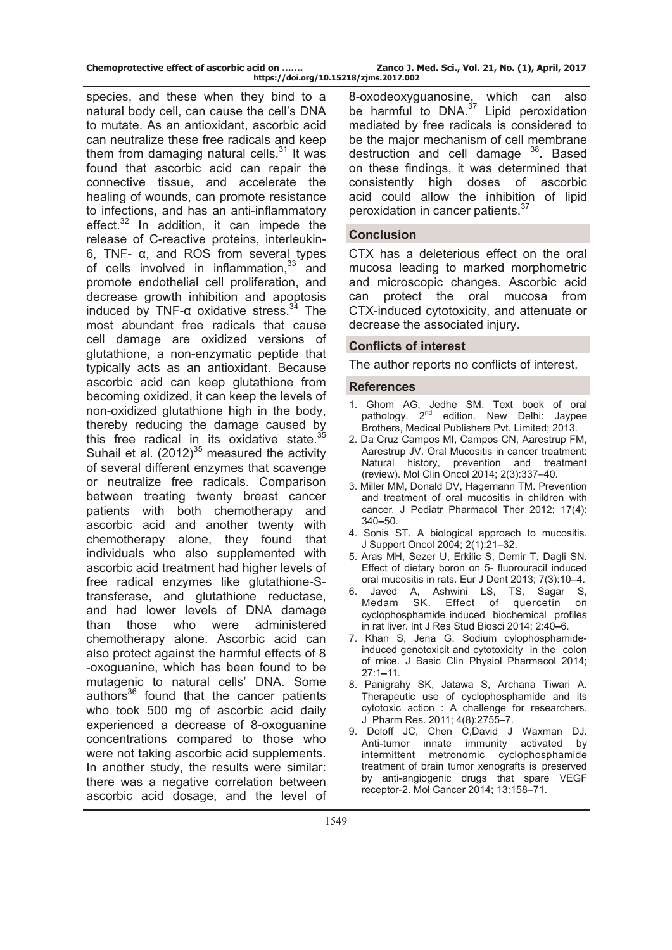| Chemoprotective effect of ascorbic acid on | Zanco J. Med. Sci., Vol. 21, No. (1), April, 2017 |  |  |
|--------------------------------------------|---------------------------------------------------|--|--|
| https://doi.org/10.15218/zjms.2017.002     |                                                   |  |  |

species, and these when they bind to a natural body cell, can cause the cell's DNA to mutate. As an antioxidant, ascorbic acid can neutralize these free radicals and keep them from damaging natural cells. $31$  It was found that ascorbic acid can repair the connective tissue, and accelerate the healing of wounds, can promote resistance to infections, and has an anti-inflammatory effect. $32$  In addition, it can impede the release of C-reactive proteins, interleukin-6, TNF- α, and ROS from several types of cells involved in inflammation, $33$  and promote endothelial cell proliferation, and decrease growth inhibition and apoptosis induced by TNF- $\alpha$  oxidative stress.<sup>34</sup> The most abundant free radicals that cause cell damage are oxidized versions of glutathione, a non-enzymatic peptide that typically acts as an antioxidant. Because ascorbic acid can keep glutathione from becoming oxidized, it can keep the levels of non-oxidized glutathione high in the body, thereby reducing the damage caused by this free radical in its oxidative state.  $35$ Suhail et al.  $(2012)^{35}$  measured the activity of several different enzymes that scavenge or neutralize free radicals. Comparison between treating twenty breast cancer patients with both chemotherapy and ascorbic acid and another twenty with chemotherapy alone, they found that individuals who also supplemented with ascorbic acid treatment had higher levels of free radical enzymes like glutathione-Stransferase, and glutathione reductase, and had lower levels of DNA damage than those who were administered chemotherapy alone. Ascorbic acid can also protect against the harmful effects of 8 -oxoguanine, which has been found to be mutagenic to natural cells' DNA. Some authors<sup>36</sup> found that the cancer patients who took 500 mg of ascorbic acid daily experienced a decrease of 8-oxoguanine concentrations compared to those who were not taking ascorbic acid supplements. In another study, the results were similar: there was a negative correlation between ascorbic acid dosage, and the level of

8-oxodeoxyguanosine, which can also be harmful to  $DNA.^{37}$  Lipid peroxidation mediated by free radicals is considered to be the major mechanism of cell membrane destruction and cell damage <sup>38</sup>. Based on these findings, it was determined that consistently high doses of ascorbic acid could allow the inhibition of lipid peroxidation in cancer patients.<sup>37</sup>

#### **Conclusion**

CTX has a deleterious effect on the oral mucosa leading to marked morphometric and microscopic changes. Ascorbic acid can protect the oral mucosa from CTX-induced cytotoxicity, and attenuate or decrease the associated injury.

#### **Conflicts of interest**

The author reports no conflicts of interest.

#### **References**

- 1. Ghom AG, Jedhe SM. Text book of oral pathology. 2<sup>nd</sup> edition. New Delhi: Javpee Brothers, Medical Publishers Pvt. Limited; 2013.
- 2. Da Cruz Campos MI, Campos CN, Aarestrup FM, Aarestrup JV. Oral Mucositis in cancer treatment: Natural history, prevention and treatment (review). Mol Clin Oncol 2014; 2(3):337–40.
- 3. Miller MM, Donald DV, Hagemann TM. Prevention and treatment of oral mucositis in children with cancer. J Pediatr Pharmacol Ther 2012; 17(4): 340**–**50.
- 4. Sonis ST. A biological approach to mucositis. J Support Oncol 2004; 2(1):21–32.
- 5. Aras MH, Sezer U, Erkilic S, Demir T, Dagli SN. Effect of dietary boron on 5- fluorouracil induced oral mucositis in rats. Eur J Dent 2013; 7(3):10–4.
- 6. Javed A, Ashwini LS, TS, Sagar S, Medam SK. Effect of quercetin on cyclophosphamide induced biochemical profiles in rat liver. Int J Res Stud Biosci 2014; 2:40**–**6.
- 7. Khan S, Jena G. Sodium cylophosphamideinduced genotoxicit and cytotoxicity in the colon of mice. J Basic Clin Physiol Pharmacol 2014; 27:1**–**11.
- 8. Panigrahy SK, Jatawa S, Archana Tiwari A. Therapeutic use of cyclophosphamide and its cytotoxic action : A challenge for researchers. J Pharm Res. 2011; 4(8):2755**–**7.
- 9. Doloff JC, Chen C,David J Waxman DJ. Anti-tumor innate immunity activated by intermittent metronomic cyclophosphamide treatment of brain tumor xenografts is preserved by anti-angiogenic drugs that spare VEGF receptor-2. Mol Cancer 2014; 13:158**–**71.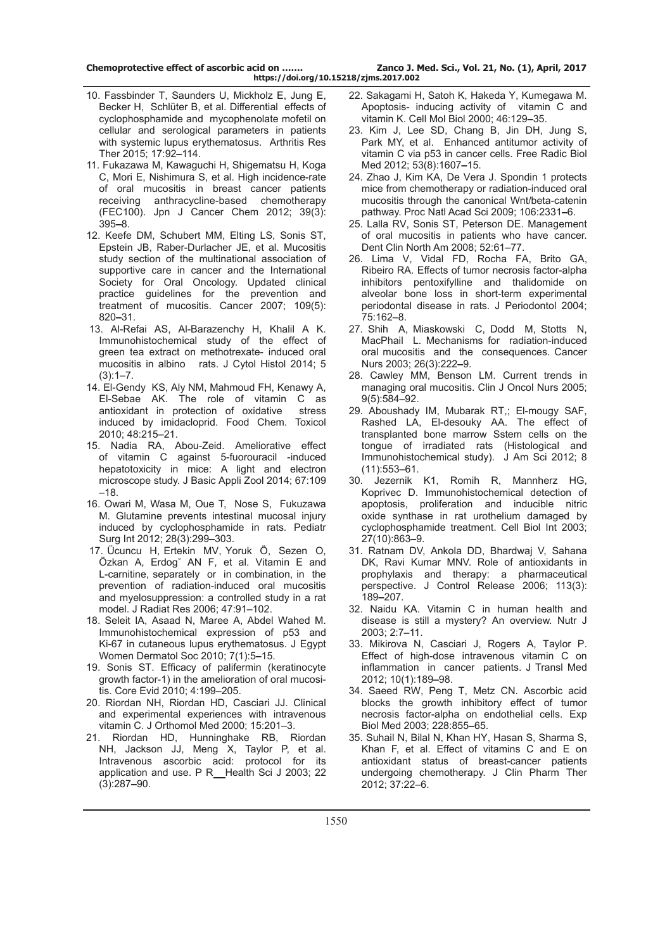- 10. Fassbinder T, Saunders U, Mickholz E, Jung E, Becker H, Schlüter B, et al. Differential effects of cyclophosphamide and mycophenolate mofetil on cellular and serological parameters in patients with systemic lupus erythematosus. Arthritis Res Ther 2015; 17:92**–**114.
- 11. [Fukazawa M](http://www.ncbi.nlm.nih.gov/pubmed/?term=Fukazawa%20M%5BAuthor%5D&cauthor=true&cauthor_uid=22421766), [Kawaguchi H,](http://www.ncbi.nlm.nih.gov/pubmed/?term=Kawaguchi%20H%5BAuthor%5D&cauthor=true&cauthor_uid=22421766) [Shigematsu H,](http://www.ncbi.nlm.nih.gov/pubmed/?term=Shigematsu%20H%5BAuthor%5D&cauthor=true&cauthor_uid=22421766) [Koga](http://www.ncbi.nlm.nih.gov/pubmed/?term=Koga%20C%5BAuthor%5D&cauthor=true&cauthor_uid=22421766) [C](http://www.ncbi.nlm.nih.gov/pubmed/?term=Koga%20C%5BAuthor%5D&cauthor=true&cauthor_uid=22421766), [Mori E](http://www.ncbi.nlm.nih.gov/pubmed/?term=Mori%20E%5BAuthor%5D&cauthor=true&cauthor_uid=22421766), [Nishimura S](http://www.ncbi.nlm.nih.gov/pubmed/?term=Nishimura%20S%5BAuthor%5D&cauthor=true&cauthor_uid=22421766), et al. High incidence-rate of oral mucositis in breast cancer patients receiving anthracycline-based chemotherapy (FEC100). Jpn J Cancer Chem 2012; 39(3): 395**–**8.
- 12. Keefe DM, Schubert MM, Elting LS, Sonis ST, Epstein JB, Raber-Durlacher JE, et al. Mucositis study section of the multinational association of supportive care in cancer and the International Society for Oral Oncology. Updated clinical practice guidelines for the prevention and treatment of mucositis. Cancer 2007; 109(5): 820**–**31.
- 13. Al-Refai AS, Al-Barazenchy H, Khalil A K. Immunohistochemical study of the effect of green tea extract on methotrexate- induced oral mucositis in albino rats. J Cytol Histol 2014; 5  $(3):1-7.$
- 14. El-Gendy KS, Aly NM, Mahmoud FH, Kenawy A, El-Sebae AK. The role of vitamin C as antioxidant in protection of oxidative stress induced by imidacloprid. Food Chem. Toxicol 2010; 48:215–21.
- 15. Nadia RA, Abou-Zeid. Ameliorative effect of vitamin C against 5-fuorouracil -induced hepatotoxicity in mice: A light and electron microscope study. J Basic Appli Zool 2014; 67:109 –18.
- 16. [Owari M,](http://www.ncbi.nlm.nih.gov/pubmed/?term=Owari%20M%5BAuthor%5D&cauthor=true&cauthor_uid=22159634) [Wasa M,](http://www.ncbi.nlm.nih.gov/pubmed/?term=Wasa%20M%5BAuthor%5D&cauthor=true&cauthor_uid=22159634) [Oue T](http://www.ncbi.nlm.nih.gov/pubmed/?term=Oue%20T%5BAuthor%5D&cauthor=true&cauthor_uid=22159634), [Nose S](http://www.ncbi.nlm.nih.gov/pubmed/?term=Nose%20S%5BAuthor%5D&cauthor=true&cauthor_uid=22159634), [Fukuzawa](http://www.ncbi.nlm.nih.gov/pubmed/?term=Fukuzawa%20M%5BAuthor%5D&cauthor=true&cauthor_uid=22159634) [M](http://www.ncbi.nlm.nih.gov/pubmed/?term=Fukuzawa%20M%5BAuthor%5D&cauthor=true&cauthor_uid=22159634). Glutamine prevents intestinal mucosal injury induced by cyclophosphamide in rats. Pediatr Surg [Int](http://www.ncbi.nlm.nih.gov/pubmed/22159634) 2012; 28(3):299**–**303.
- 17. Ücuncu H, Ertekin MV, Yoruk Ö, Sezen O, Özkan A, Erdog˘ AN F, et al. Vitamin E and L-carnitine, separately or in combination, in the prevention of radiation-induced oral mucositis and myelosuppression: a controlled study in a rat model. J Radiat Res 2006; 47:91–102.
- 18. Seleit IA, Asaad N, Maree A, Abdel Wahed M. Immunohistochemical expression of p53 and Ki-67 in cutaneous lupus erythematosus. J Egypt Women Dermatol Soc 2010; 7(1):5**–**15.
- 19. Sonis ST. Efficacy of palifermin (keratinocyte growth factor-1) in the amelioration of oral mucositis. Core Evid 2010; 4:199–205.
- 20. Riordan NH, Riordan HD, Casciari JJ. Clinical and experimental experiences with intravenous vitamin C. J Orthomol Med 2000; 15:201–3.
- 21. [Riordan HD,](http://www.ncbi.nlm.nih.gov/pubmed/?term=Riordan%20HD%5BAuthor%5D&cauthor=true&cauthor_uid=14619456) [Hunninghake RB](http://www.ncbi.nlm.nih.gov/pubmed/?term=Hunninghake%20RB%5BAuthor%5D&cauthor=true&cauthor_uid=14619456), [Riordan](http://www.ncbi.nlm.nih.gov/pubmed/?term=Riordan%20NH%5BAuthor%5D&cauthor=true&cauthor_uid=14619456) [NH](http://www.ncbi.nlm.nih.gov/pubmed/?term=Riordan%20NH%5BAuthor%5D&cauthor=true&cauthor_uid=14619456), [Jackson JJ,](http://www.ncbi.nlm.nih.gov/pubmed/?term=Jackson%20JJ%5BAuthor%5D&cauthor=true&cauthor_uid=14619456) [Meng X](http://www.ncbi.nlm.nih.gov/pubmed/?term=Meng%20X%5BAuthor%5D&cauthor=true&cauthor_uid=14619456), [Taylor P](http://www.ncbi.nlm.nih.gov/pubmed/?term=Taylor%20P%5BAuthor%5D&cauthor=true&cauthor_uid=14619456), et al. Intravenous ascorbic acid: protocol for its application and use. [P R Health Sci J](http://www.ncbi.nlm.nih.gov/pubmed/14619456) 2003; 22 (3):287**–**90.
- 22. Sakagami H, Satoh K, Hakeda Y, Kumegawa M. Apoptosis- inducing activity of vitamin C and vitamin K. Cell Mol Biol 2000; 46:129**–**35.
- 23. Kim J, Lee SD, Chang B, Jin DH, Jung S, Park MY, et al. Enhanced antitumor activity of vitamin C via p53 in cancer cells. Free Radic Biol Med 2012; 53(8):1607**–**15.
- 24. Zhao J, Kim KA, De Vera J. Spondin 1 protects mice from chemotherapy or radiation-induced oral mucositis through the canonical Wnt/beta-catenin pathway. Proc Natl Acad Sci 2009; 106:2331**–**6.
- 25. Lalla RV, Sonis ST, Peterson DE. Management of oral mucositis in patients who have cancer. Dent Clin North Am 2008; 52:61–77.
- 26. Lima V, Vidal FD, Rocha FA, Brito GA, Ribeiro RA. Effects of tumor necrosis factor-alpha inhibitors pentoxifylline and thalidomide on alveolar bone loss in short-term experimental periodontal disease in rats. J Periodontol 2004; 75:162–8.
- 27. Shih A, Miaskowski C, Dodd M, Stotts N, MacPhail L. Mechanisms for radiation-induced oral mucositis and the consequences. Cancer Nurs 2003; 26(3):222**–**9.
- 28. Cawley MM, Benson LM. Current trends in managing oral mucositis. Clin J Oncol Nurs 2005; 9(5):584–92.
- 29. Aboushady IM, Mubarak RT,; El-mougy SAF, Rashed LA, El-desouky AA. The effect of transplanted bone marrow Sstem cells on the tongue of irradiated rats (Histological and Immunohistochemical study). J Am Sci 2012; 8 (11):553–61.
- 30. [Jezernik K](http://www.ncbi.nlm.nih.gov/pubmed/?term=Jezernik%20K%5BAuthor%5D&cauthor=true&cauthor_uid=14499667)1, [Romih R](http://www.ncbi.nlm.nih.gov/pubmed/?term=Romih%20R%5BAuthor%5D&cauthor=true&cauthor_uid=14499667), [Mannherz HG](http://www.ncbi.nlm.nih.gov/pubmed/?term=Mannherz%20HG%5BAuthor%5D&cauthor=true&cauthor_uid=14499667), [Koprivec D](http://www.ncbi.nlm.nih.gov/pubmed/?term=Koprivec%20D%5BAuthor%5D&cauthor=true&cauthor_uid=14499667). Immunohistochemical detection of apoptosis, proliferation and inducible nitric oxide synthase in rat urothelium damaged by cyclophosphamide treatment. [Cell Biol In](http://www.ncbi.nlm.nih.gov/pubmed/14499667)t 2003; 27(10):863**–**9.
- 31. Ratnam DV, Ankola DD, Bhardwaj V, Sahana DK, Ravi Kumar MNV. Role of antioxidants in prophylaxis and therapy: a pharmaceutical perspective. J Control Release 2006; 113(3): 189**–**207.
- 32. Naidu KA. Vitamin C in human health and disease is still a mystery? An overview. Nutr J 2003; 2:7**–**11.
- 33. Mikirova N, Casciari J, Rogers A, Taylor P. Effect of high-dose intravenous vitamin C on inflammation in cancer patients. J Transl Med 2012; 10(1):189**–**98.
- 34. Saeed RW, Peng T, Metz CN. Ascorbic acid blocks the growth inhibitory effect of tumor necrosis factor-alpha on endothelial cells. Exp Biol Med 2003; 228:855**–**65.
- 35. Suhail N, Bilal N, Khan HY, Hasan S, Sharma S, Khan F, et al. Effect of vitamins C and E on antioxidant status of breast-cancer patients undergoing chemotherapy. J Clin Pharm Ther 2012; 37:22–6.